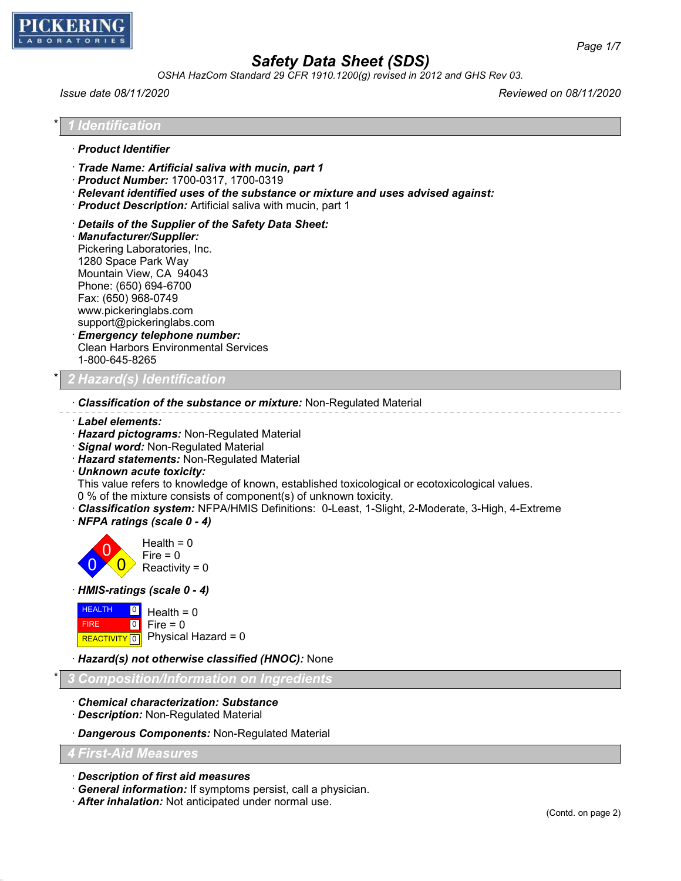

*OSHA HazCom Standard 29 CFR 1910.1200(g) revised in 2012 and GHS Rev 03.*

*Issue date 08/11/2020 Reviewed on 08/11/2020*

# \* *1 Identification*

- · *Product Identifier*
- · *Trade Name: Artificial saliva with mucin, part 1*
- · *Product Number:* 1700-0317, 1700-0319
- · *Relevant identified uses of the substance or mixture and uses advised against:*
- · *Product Description:* Artificial saliva with mucin, part 1
- · *Details of the Supplier of the Safety Data Sheet:*
- · *Manufacturer/Supplier:* Pickering Laboratories, Inc. 1280 Space Park Way Mountain View, CA 94043 Phone: (650) 694-6700 Fax: (650) 968-0749 www.pickeringlabs.com support@pickeringlabs.com · *Emergency telephone number:*
- Clean Harbors Environmental Services 1-800-645-8265

### \* *2 Hazard(s) Identification*

- · *Classification of the substance or mixture:* Non-Regulated Material
- · *Label elements:*
- · *Hazard pictograms:* Non-Regulated Material
- · *Signal word:* Non-Regulated Material
- · *Hazard statements:* Non-Regulated Material
- · *Unknown acute toxicity:*

This value refers to knowledge of known, established toxicological or ecotoxicological values.

- 0 % of the mixture consists of component(s) of unknown toxicity.
- · *Classification system:* NFPA/HMIS Definitions: 0-Least, 1-Slight, 2-Moderate, 3-High, 4-Extreme
- · *NFPA ratings (scale 0 4)*



### · *HMIS-ratings (scale 0 - 4)*



### · *Hazard(s) not otherwise classified (HNOC):* None

\* *3 Composition/Information on Ingredients*

- · *Chemical characterization: Substance*
- · *Description:* Non-Regulated Material

· *Dangerous Components:* Non-Regulated Material

### *4 First-Aid Measures*

· *Description of first aid measures*

- · *General information:* If symptoms persist, call a physician.
- · *After inhalation:* Not anticipated under normal use.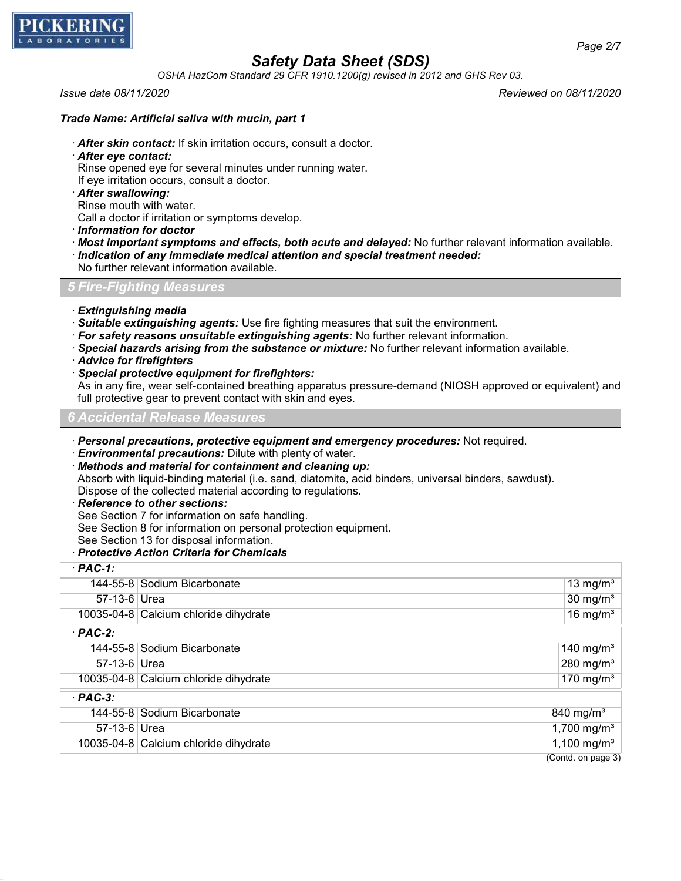

*OSHA HazCom Standard 29 CFR 1910.1200(g) revised in 2012 and GHS Rev 03.*

*Issue date 08/11/2020 Reviewed on 08/11/2020*

### *Trade Name: Artificial saliva with mucin, part 1*

- · *After skin contact:* If skin irritation occurs, consult a doctor.
- · *After eye contact:*
- Rinse opened eye for several minutes under running water.
- If eye irritation occurs, consult a doctor.
- · *After swallowing:*
- Rinse mouth with water.
- Call a doctor if irritation or symptoms develop.
- · *Information for doctor*
- · *Most important symptoms and effects, both acute and delayed:* No further relevant information available. · *Indication of any immediate medical attention and special treatment needed:*
- No further relevant information available.

## *5 Fire-Fighting Measures*

- · *Extinguishing media*
- · *Suitable extinguishing agents:* Use fire fighting measures that suit the environment.
- · *For safety reasons unsuitable extinguishing agents:* No further relevant information.
- · *Special hazards arising from the substance or mixture:* No further relevant information available.
- · *Advice for firefighters*
- · *Special protective equipment for firefighters:*

As in any fire, wear self-contained breathing apparatus pressure-demand (NIOSH approved or equivalent) and full protective gear to prevent contact with skin and eyes.

*6 Accidental Release Measures*

- · *Personal precautions, protective equipment and emergency procedures:* Not required.
- · *Environmental precautions:* Dilute with plenty of water.
- · *Methods and material for containment and cleaning up:* Absorb with liquid-binding material (i.e. sand, diatomite, acid binders, universal binders, sawdust). Dispose of the collected material according to regulations.
- · *Reference to other sections:*
- See Section 7 for information on safe handling.
- See Section 8 for information on personal protection equipment.
- See Section 13 for disposal information.
- · *Protective Action Criteria for Chemicals*

| $·$ PAC-1:     |                                       |  |                         |  |
|----------------|---------------------------------------|--|-------------------------|--|
|                | 144-55-8 Sodium Bicarbonate           |  | 13 mg/ $m3$             |  |
| 57-13-6 Urea   |                                       |  | $30 \text{ mg/m}^3$     |  |
|                | 10035-04-8 Calcium chloride dihydrate |  | 16 mg/m $3$             |  |
| $·$ PAC-2:     |                                       |  |                         |  |
|                | 144-55-8 Sodium Bicarbonate           |  | 140 mg/m <sup>3</sup>   |  |
| 57-13-6 Urea   |                                       |  | 280 mg/m $3$            |  |
|                | 10035-04-8 Calcium chloride dihydrate |  | 170 mg/m $3$            |  |
| $·$ PAC-3:     |                                       |  |                         |  |
|                | 144-55-8 Sodium Bicarbonate           |  | 840 mg/m <sup>3</sup>   |  |
| $57-13-6$ Urea |                                       |  | 1,700 mg/m <sup>3</sup> |  |
|                | 10035-04-8 Calcium chloride dihydrate |  | $1,100 \text{ mg/m}^3$  |  |
|                |                                       |  | (Contd. on page 3)      |  |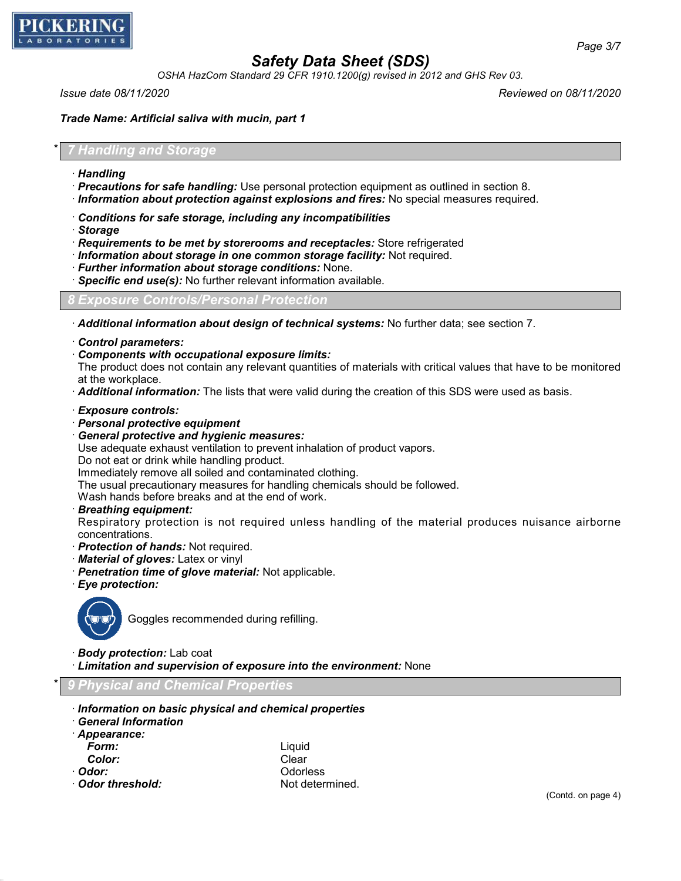

*OSHA HazCom Standard 29 CFR 1910.1200(g) revised in 2012 and GHS Rev 03.*

*Issue date 08/11/2020 Reviewed on 08/11/2020*

*Trade Name: Artificial saliva with mucin, part 1*

## \* *7 Handling and Storage*

- · *Handling*
- · *Precautions for safe handling:* Use personal protection equipment as outlined in section 8.
- · *Information about protection against explosions and fires:* No special measures required.
- · *Conditions for safe storage, including any incompatibilities*
- · *Storage*
- · *Requirements to be met by storerooms and receptacles:* Store refrigerated
- · *Information about storage in one common storage facility:* Not required.
- · *Further information about storage conditions:* None.
- · *Specific end use(s):* No further relevant information available.

## *8 Exposure Controls/Personal Protection*

- · *Additional information about design of technical systems:* No further data; see section 7.
- · *Control parameters:*
- · *Components with occupational exposure limits:*

The product does not contain any relevant quantities of materials with critical values that have to be monitored at the workplace.

- · *Additional information:* The lists that were valid during the creation of this SDS were used as basis.
- · *Exposure controls:*
- · *Personal protective equipment*
- · *General protective and hygienic measures:*

Use adequate exhaust ventilation to prevent inhalation of product vapors.

Do not eat or drink while handling product.

Immediately remove all soiled and contaminated clothing.

The usual precautionary measures for handling chemicals should be followed.

Wash hands before breaks and at the end of work.

## · *Breathing equipment:*

Respiratory protection is not required unless handling of the material produces nuisance airborne concentrations.

- · *Protection of hands:* Not required.
- · *Material of gloves:* Latex or vinyl
- · *Penetration time of glove material:* Not applicable.
- · *Eye protection:*



Goggles recommended during refilling.

- · *Body protection:* Lab coat
- · *Limitation and supervision of exposure into the environment:* None

\* *9 Physical and Chemical Properties*

- · *Information on basic physical and chemical properties*
- · *General Information*

|  |  |  | · Appearance: |  |  |  |
|--|--|--|---------------|--|--|--|
|--|--|--|---------------|--|--|--|

- 
- 
- 
- · **Odor threshold:** Not determined.

*Form:* Liquid **Color:** Clear · *Odor:* Odorless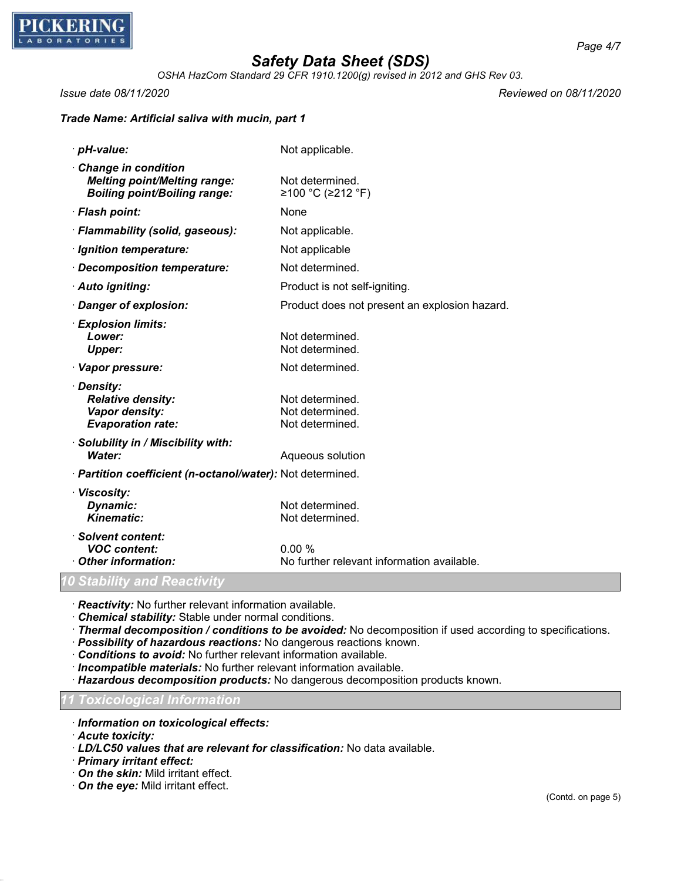

*OSHA HazCom Standard 29 CFR 1910.1200(g) revised in 2012 and GHS Rev 03.*

*Issue date 08/11/2020 Reviewed on 08/11/2020*

## *Trade Name: Artificial saliva with mucin, part 1*

| · pH-value:                                                                                       | Not applicable.                                       |
|---------------------------------------------------------------------------------------------------|-------------------------------------------------------|
| Change in condition<br><b>Melting point/Melting range:</b><br><b>Boiling point/Boiling range:</b> | Not determined.<br>≥100 °C (≥212 °F)                  |
| · Flash point:                                                                                    | None                                                  |
| · Flammability (solid, gaseous):                                                                  | Not applicable.                                       |
| · Ignition temperature:                                                                           | Not applicable                                        |
| · Decomposition temperature:                                                                      | Not determined.                                       |
| · Auto igniting:                                                                                  | Product is not self-igniting.                         |
| · Danger of explosion:                                                                            | Product does not present an explosion hazard.         |
| · Explosion limits:<br>Lower:<br><b>Upper:</b>                                                    | Not determined.<br>Not determined.                    |
| · Vapor pressure:                                                                                 | Not determined.                                       |
| · Density:<br><b>Relative density:</b><br>Vapor density:<br><b>Evaporation rate:</b>              | Not determined.<br>Not determined.<br>Not determined. |
| · Solubility in / Miscibility with:<br>Water:                                                     | Aqueous solution                                      |
| · Partition coefficient (n-octanol/water): Not determined.                                        |                                                       |
| · Viscosity:<br>Dynamic:<br><b>Kinematic:</b>                                                     | Not determined.<br>Not determined.                    |
| · Solvent content:<br><b>VOC content:</b><br>Other information:                                   | 0.00%<br>No further relevant information available.   |
| 0 Stability and Reactivity                                                                        |                                                       |

· *Reactivity:* No further relevant information available.

· *Chemical stability:* Stable under normal conditions.

· *Thermal decomposition / conditions to be avoided:* No decomposition if used according to specifications.

· *Possibility of hazardous reactions:* No dangerous reactions known.

· *Conditions to avoid:* No further relevant information available.

· *Incompatible materials:* No further relevant information available.

· *Hazardous decomposition products:* No dangerous decomposition products known.

*11 Toxicological Information*

· *Information on toxicological effects:*

· *Acute toxicity:*

· *LD/LC50 values that are relevant for classification:* No data available.

· *Primary irritant effect:*

- · *On the skin:* Mild irritant effect.
- · *On the eye:* Mild irritant effect.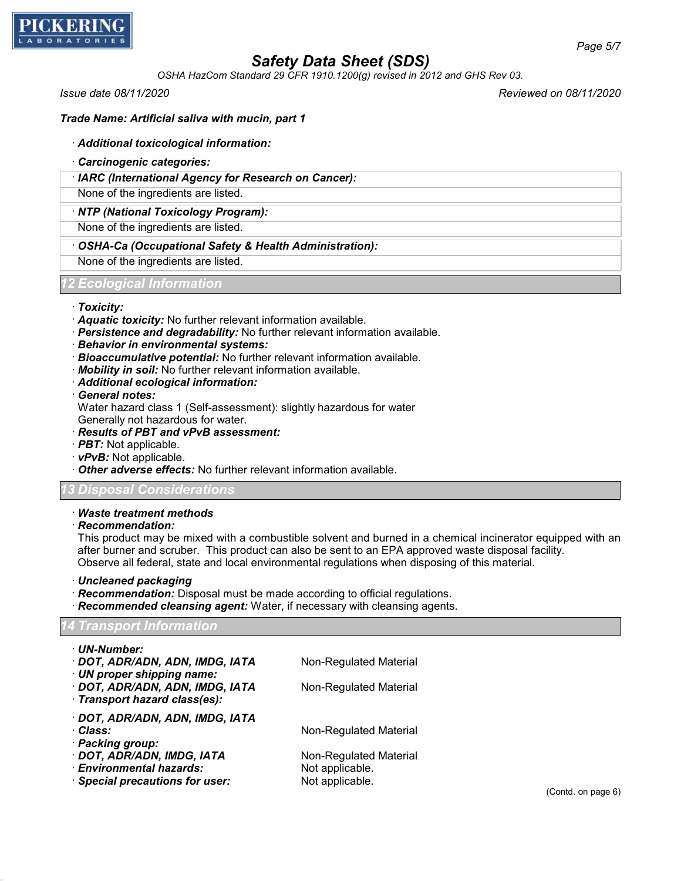

*OSHA HazCom Standard 29 CFR 1910.1200(g) revised in 2012 and GHS Rev 03.*

*Issue date 08/11/2020 Reviewed on 08/11/2020*

### *Trade Name: Artificial saliva with mucin, part 1*

#### · *Additional toxicological information:*

- · *Carcinogenic categories:*
- · *IARC (International Agency for Research on Cancer):*

None of the ingredients are listed.

#### · *NTP (National Toxicology Program):*

None of the ingredients are listed.

## · *OSHA-Ca (Occupational Safety & Health Administration):*

None of the ingredients are listed.

#### *12 Ecological Information*

#### · *Toxicity:*

- · *Aquatic toxicity:* No further relevant information available.
- · *Persistence and degradability:* No further relevant information available.
- · *Behavior in environmental systems:*
- · *Bioaccumulative potential:* No further relevant information available.
- · *Mobility in soil:* No further relevant information available.
- · *Additional ecological information:*
- · *General notes:*

Water hazard class 1 (Self-assessment): slightly hazardous for water

Generally not hazardous for water.

- · *Results of PBT and vPvB assessment:*
- · *PBT:* Not applicable.
- · *vPvB:* Not applicable.
- · *Other adverse effects:* No further relevant information available.

### *13 Disposal Considerations*

### · *Waste treatment methods*

· *Recommendation:*

This product may be mixed with a combustible solvent and burned in a chemical incinerator equipped with an after burner and scruber. This product can also be sent to an EPA approved waste disposal facility. Observe all federal, state and local environmental regulations when disposing of this material.

#### · *Uncleaned packaging*

- · *Recommendation:* Disposal must be made according to official regulations.
- · *Recommended cleansing agent:* Water, if necessary with cleansing agents.

### *14 Transport Information*

| · UN-Number:<br>· DOT, ADR/ADN, ADN, IMDG, IATA<br>UN proper shipping name: | Non-Regulated Material |
|-----------------------------------------------------------------------------|------------------------|
| · DOT, ADR/ADN, ADN, IMDG, IATA<br>Transport hazard class(es):              | Non-Regulated Material |
| · DOT, ADR/ADN, ADN, IMDG, IATA                                             |                        |
| · Class:                                                                    | Non-Regulated Material |
| · Packing group:                                                            |                        |
| · DOT, ADR/ADN, IMDG, IATA                                                  | Non-Regulated Material |
| <b>Environmental hazards:</b>                                               | Not applicable.        |
| Special precautions for user:                                               | Not applicable.        |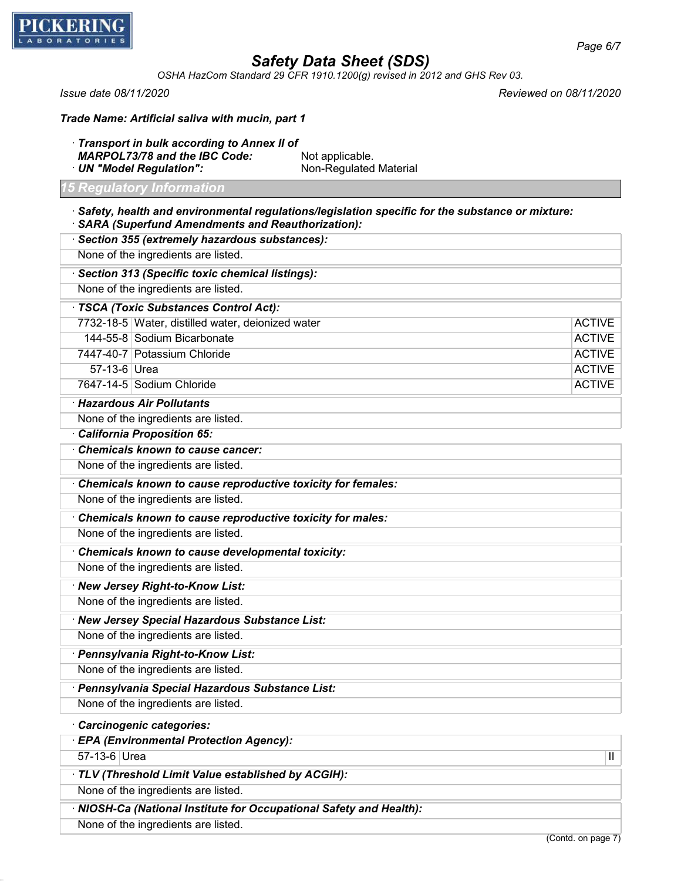

*OSHA HazCom Standard 29 CFR 1910.1200(g) revised in 2012 and GHS Rev 03.*

*Issue date 08/11/2020 Reviewed on 08/11/2020*

| Trade Name: Artificial saliva with mucin, part 1 |  |  |  |  |  |  |  |
|--------------------------------------------------|--|--|--|--|--|--|--|
|--------------------------------------------------|--|--|--|--|--|--|--|

· *Transport in bulk according to Annex II of MARPOL73/78 and the IBC Code:* Not applicable. · **UN "Model Regulation":** Non-Regulated Material

#### *15 Regulatory Information*

- · *Safety, health and environmental regulations/legislation specific for the substance or mixture:* · *SARA (Superfund Amendments and Reauthorization):*
- · *Section 355 (extremely hazardous substances):* None of the ingredients are listed. · *Section 313 (Specific toxic chemical listings):* None of the ingredients are listed. · *TSCA (Toxic Substances Control Act):* 7732-18-5 Water, distilled water, deionized water ACTIVE 144-55-8 Sodium Bicarbonate **ACTIVE** 7447-40-7 Potassium Chloride ACTIVE 57-13-6 Urea ACTIVE 7647-14-5 Sodium Chloride ACTIVE · *Hazardous Air Pollutants* None of the ingredients are listed.
	-
	- · *California Proposition 65:*
	- · *Chemicals known to cause cancer:*
	- None of the ingredients are listed.
	- · *Chemicals known to cause reproductive toxicity for females:*
	- None of the ingredients are listed.
- · *Chemicals known to cause reproductive toxicity for males:*
- None of the ingredients are listed.
- · *Chemicals known to cause developmental toxicity:*
- None of the ingredients are listed.
- · *New Jersey Right-to-Know List:*
- None of the ingredients are listed.
- · *New Jersey Special Hazardous Substance List:*
- None of the ingredients are listed.
- · *Pennsylvania Right-to-Know List:*
- None of the ingredients are listed.
- · *Pennsylvania Special Hazardous Substance List:*
- None of the ingredients are listed.

### · *Carcinogenic categories:*

- · *EPA (Environmental Protection Agency):*
- 57-13-6 Urea III and the contract of the contract of the contract of the contract of the contract of the contract of the contract of the contract of the contract of the contract of the contract of the contract of the contr
- · *TLV (Threshold Limit Value established by ACGIH):*
- None of the ingredients are listed.
- · *NIOSH-Ca (National Institute for Occupational Safety and Health):*
- None of the ingredients are listed.